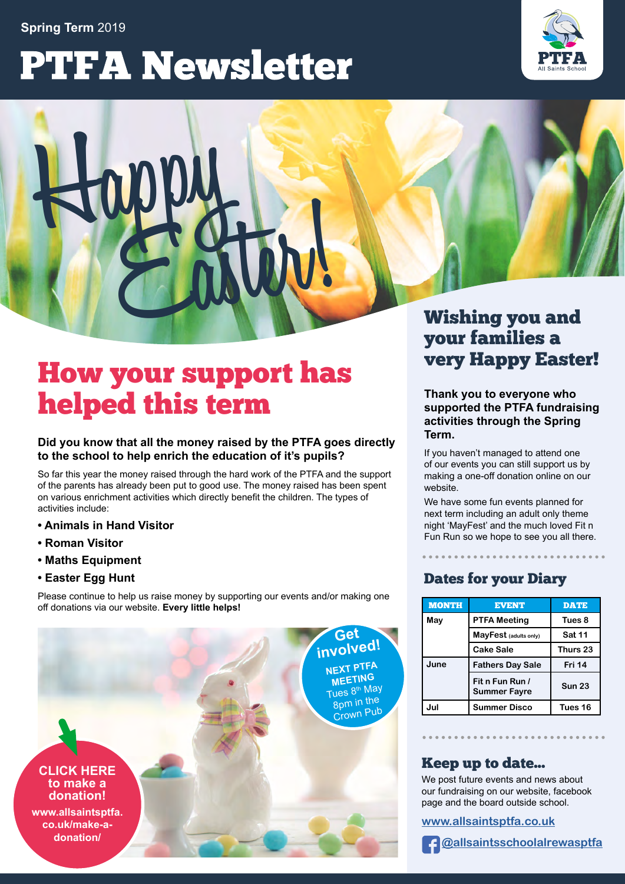### **Spring Term** 2019

# **PTFA Newsletter**





## How your support has helped this term

#### **Did you know that all the money raised by the PTFA goes directly to the school to help enrich the education of it's pupils?**

So far this year the money raised through the hard work of the PTFA and the support of the parents has already been put to good use. The money raised has been spent on various enrichment activities which directly benefit the children. The types of activities include:

- **Animals in Hand Visitor**
- **Roman Visitor**
- **Maths Equipment**
- **Easter Egg Hunt**

Please continue to help us raise money by supporting our events and/or making one off donations via our website. **Every little helps!**



# your families a very Happy Easter!

**Thank you to everyone who supported the PTFA fundraising activities through the Spring Term.** 

If you haven't managed to attend one of our events you can still support us by making a one-off donation online on our website.

We have some fun events planned for next term including an adult only theme night 'MayFest' and the much loved Fit n Fun Run so we hope to see you all there.

### Dates for your Diary

| <b>MONTH</b> | <b>EVENT</b>                           | <b>DATE</b>   |
|--------------|----------------------------------------|---------------|
| Mav          | <b>PTFA Meeting</b>                    | Tues 8        |
|              | MayFest (adults only)                  | <b>Sat 11</b> |
|              | <b>Cake Sale</b>                       | Thurs 23      |
| June         | <b>Fathers Day Sale</b>                | Fri 14        |
|              | Fit n Fun Run /<br><b>Summer Fayre</b> | <b>Sun 23</b> |
| Jul          | <b>Summer Disco</b>                    | Tues 16       |

### Keep up to date...

We post future events and news about our fundraising on our website, facebook page and the board outside school.

**[www.allsaintsptfa.co.uk](http://www.allsaintsptfa.co.uk)**

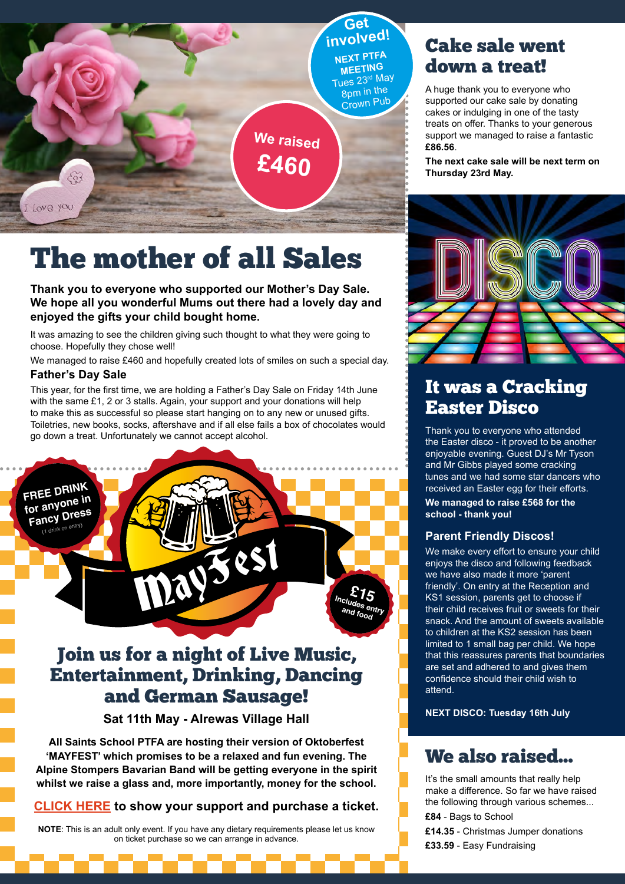

**We raised £460**

Love you

3

# The mother of all Sales

**Thank you to everyone who supported our Mother's Day Sale. We hope all you wonderful Mums out there had a lovely day and enjoyed the gifts your child bought home.**

It was amazing to see the children giving such thought to what they were going to choose. Hopefully they chose well!

We managed to raise £460 and hopefully created lots of smiles on such a special day.

### **Father's Day Sale**

This year, for the first time, we are holding a Father's Day Sale on Friday 14th June with the same £1, 2 or 3 stalls. Again, your support and your donations will help to make this as successful so please start hanging on to any new or unused gifts. Toiletries, new books, socks, aftershave and if all else fails a box of chocolates would go down a treat. Unfortunately we cannot accept alcohol.



## Join us for a night of Live Music, Entertainment, Drinking, Dancing and German Sausage!

**Sat 11th May - Alrewas Village Hall**

**All Saints School PTFA are hosting their version of Oktoberfest 'MAYFEST' which promises to be a relaxed and fun evening. The Alpine Stompers Bavarian Band will be getting everyone in the spirit whilst we raise a glass and, more importantly, money for the school.**

### **[CLICK HERE](http://www.allsaintsptfa.co.uk/event/theme-night-adults-only/) to show your support and purchase a ticket.**

**NOTE**: This is an adult only event. If you have any dietary requirements please let us know on ticket purchase so we can arrange in advance.

## Cake sale went down a treat!

A huge thank you to everyone who supported our cake sale by donating cakes or indulging in one of the tasty treats on offer. Thanks to your generous support we managed to raise a fantastic **£86.56**.

**The next cake sale will be next term on Thursday 23rd May.**



## It was a Cracking Easter Disco

Thank you to everyone who attended the Easter disco - it proved to be another enjoyable evening. Guest DJ's Mr Tyson and Mr Gibbs played some cracking tunes and we had some star dancers who received an Easter egg for their efforts.

**We managed to raise £568 for the school - thank you!**

### **Parent Friendly Discos!**

We make every effort to ensure your child enjoys the disco and following feedback we have also made it more 'parent friendly'. On entry at the Reception and KS1 session, parents get to choose if their child receives fruit or sweets for their snack. And the amount of sweets available to children at the KS2 session has been limited to 1 small bag per child. We hope that this reassures parents that boundaries are set and adhered to and gives them confidence should their child wish to attend.

**NEXT DISCO: Tuesday 16th July**

## We also raised...

It's the small amounts that really help make a difference. So far we have raised the following through various schemes... **£84** - Bags to School

**£14.35** - Christmas Jumper donations

**£33.59** - Easy Fundraising